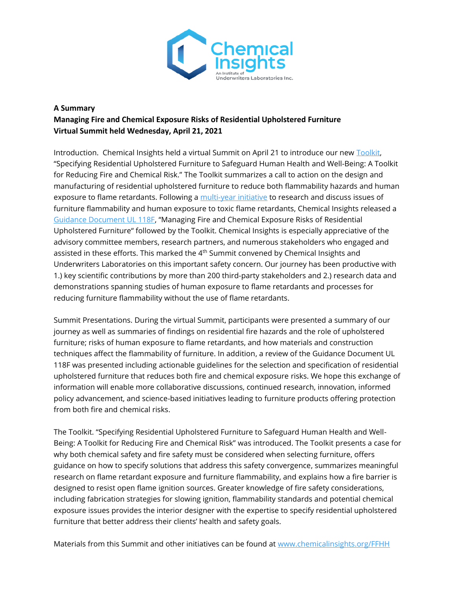

## **A Summary Managing Fire and Chemical Exposure Risks of Residential Upholstered Furniture Virtual Summit held Wednesday, April 21, 2021**

Introduction. Chemical Insights held a virtual Summit on April 21 to introduce our new [Toolkit,](https://chemicalinsights.org/wp-content/uploads/FFHH_Toolkit_042821.pdf) "Specifying Residential Upholstered Furniture to Safeguard Human Health and Well-Being: A Toolkit for Reducing Fire and Chemical Risk." The Toolkit summarizes a call to action on the design and manufacturing of residential upholstered furniture to reduce both flammability hazards and human exposure to flame retardants. Following a [multi-year initiative](https://chemicalinsights.org/ffhh) to research and discuss issues of furniture flammability and human exposure to toxic flame retardants, Chemical Insights released a [Guidance Document UL 118F,](https://chemicalinsights.org/wp-content/uploads/UL-118F_04.19.21_FINAL.pdf) "Managing Fire and Chemical Exposure Risks of Residential Upholstered Furniture" followed by the Toolkit. Chemical Insights is especially appreciative of the advisory committee members, research partners, and numerous stakeholders who engaged and assisted in these efforts. This marked the 4<sup>th</sup> Summit convened by Chemical Insights and Underwriters Laboratories on this important safety concern. Our journey has been productive with 1.) key scientific contributions by more than 200 third-party stakeholders and 2.) research data and demonstrations spanning studies of human exposure to flame retardants and processes for reducing furniture flammability without the use of flame retardants.

Summit Presentations. During the virtual Summit, participants were presented a summary of our journey as well as summaries of findings on residential fire hazards and the role of upholstered furniture; risks of human exposure to flame retardants, and how materials and construction techniques affect the flammability of furniture. In addition, a review of the Guidance Document UL 118F was presented including actionable guidelines for the selection and specification of residential upholstered furniture that reduces both fire and chemical exposure risks. We hope this exchange of information will enable more collaborative discussions, continued research, innovation, informed policy advancement, and science-based initiatives leading to furniture products offering protection from both fire and chemical risks.

The Toolkit. "Specifying Residential Upholstered Furniture to Safeguard Human Health and Well-Being: A Toolkit for Reducing Fire and Chemical Risk" was introduced. The Toolkit presents a case for why both chemical safety and fire safety must be considered when selecting furniture, offers guidance on how to specify solutions that address this safety convergence, summarizes meaningful research on flame retardant exposure and furniture flammability, and explains how a fire barrier is designed to resist open flame ignition sources. Greater knowledge of fire safety considerations, including fabrication strategies for slowing ignition, flammability standards and potential chemical exposure issues provides the interior designer with the expertise to specify residential upholstered furniture that better address their clients' health and safety goals.

Materials from this Summit and other initiatives can be found at [www.chemicalinsights.org/FFHH](https://nam12.safelinks.protection.outlook.com/?url=https%3A%2F%2Fchemicalinsights.us17.list-manage.com%2Ftrack%2Fclick%3Fu%3D576ed13f0a3c1a6cd9efcfc24%26id%3Dbd1a3f7512%26e%3D6cbd1f3f16&data=04%7C01%7CHolley.Henderson%40ul.org%7Ca9f63ac7361041fb1fcc08d90dbddc37%7C701159540ccd45f087bd03b2a3587569%7C0%7C0%7C637555931376260230%7CUnknown%7CTWFpbGZsb3d8eyJWIjoiMC4wLjAwMDAiLCJQIjoiV2luMzIiLCJBTiI6Ik1haWwiLCJXVCI6Mn0%3D%7C1000&sdata=cLJnZ2P7AxPq%2BdWR6kyGDRjSwcKKfby4hgG3wOKuKQ4%3D&reserved=0)